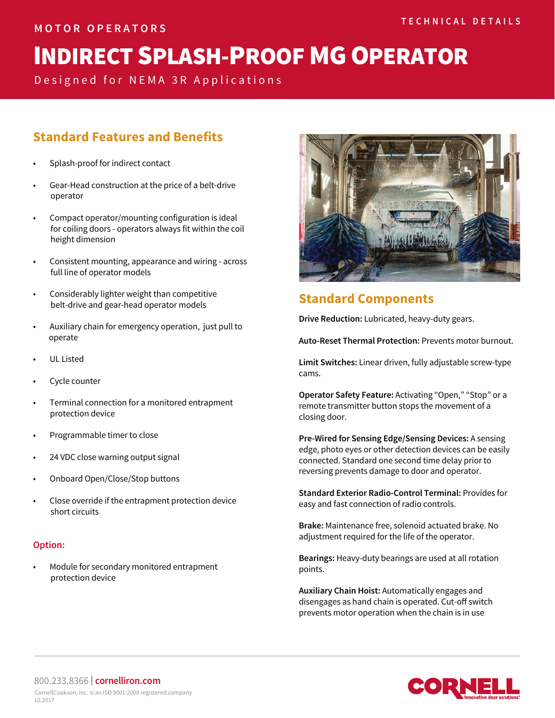# INDIRECT SPLASH-PROOF MG OPERATOR

Designed for NEMA 3R Applications

## **Standard Features and Benefits**

- Splash-proof for indirect contact
- Gear-Head construction at the price of a belt-drive operator
- Compact operator/mounting configuration is ideal for coiling doors - operators always fit within the coil height dimension
- Consistent mounting, appearance and wiring across full line of operator models
- Considerably lighter weight than competitive belt-drive and gear-head operator models
- Auxiliary chain for emergency operation, just pull to operate
- UL Listed
- Cycle counter
- Terminal connection for a monitored entrapment protection device
- Programmable timer to close
- 24 VDC close warning output signal
- Onboard Open/Close/Stop buttons
- Close override if the entrapment protection device short circuits

#### **Option:**

• Module for secondary monitored entrapment protection device



## **Standard Components**

**Drive Reduction:** Lubricated, heavy-duty gears.

**Auto-Reset Thermal Protection:** Prevents motor burnout.

**Limit Switches:** Linear driven, fully adjustable screw-type cams.

**Operator Safety Feature:** Activating "Open," "Stop" or a remote transmitter button stops the movement of a closing door.

**Pre-Wired for Sensing Edge/Sensing Devices:** A sensing edge, photo eyes or other detection devices can be easily connected. Standard one second time delay prior to reversing prevents damage to door and operator.

**Standard Exterior Radio-Control Terminal:** Provides for easy and fast connection of radio controls.

**Brake:** Maintenance free, solenoid actuated brake. No adjustment required for the life of the operator.

**Bearings:** Heavy-duty bearings are used at all rotation points.

**Auxiliary Chain Hoist:** Automatically engages and disengages as hand chain is operated. Cut-off switch prevents motor operation when the chain is in use